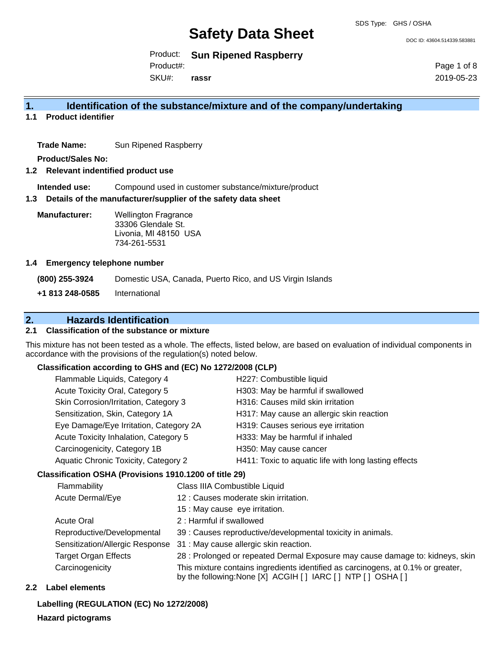DOC ID: 43604.514339.583881

Product: **Sun Ripened Raspberry**

Product#:

SKU#: **rassr** Page 1 of 8 2019-05-23

#### **1. Identification of the substance/mixture and of the company/undertaking**

**1.1 Product identifier**

**Trade Name:** Sun Ripened Raspberry

**Product/Sales No:**

#### **1.2 Relevant indentified product use**

**Intended use:** Compound used in customer substance/mixture/product

#### **1.3 Details of the manufacturer/supplier of the safety data sheet**

**Manufacturer:** Wellington Fragrance 33306 Glendale St. Livonia, MI 48150 USA 734-261-5531

#### **1.4 Emergency telephone number**

**(800) 255-3924** Domestic USA, Canada, Puerto Rico, and US Virgin Islands **+1 813 248-0585** International

#### **2. Hazards Identification**

#### **2.1 Classification of the substance or mixture**

This mixture has not been tested as a whole. The effects, listed below, are based on evaluation of individual components in accordance with the provisions of the regulation(s) noted below.

#### **Classification according to GHS and (EC) No 1272/2008 (CLP)**

| Flammable Liquids, Category 4          | H227: Combustible liquid                              |
|----------------------------------------|-------------------------------------------------------|
| Acute Toxicity Oral, Category 5        | H303: May be harmful if swallowed                     |
| Skin Corrosion/Irritation, Category 3  | H316: Causes mild skin irritation                     |
| Sensitization, Skin, Category 1A       | H317: May cause an allergic skin reaction             |
| Eye Damage/Eye Irritation, Category 2A | H319: Causes serious eye irritation                   |
| Acute Toxicity Inhalation, Category 5  | H333: May be harmful if inhaled                       |
| Carcinogenicity, Category 1B           | H350: May cause cancer                                |
| Aquatic Chronic Toxicity, Category 2   | H411: Toxic to aquatic life with long lasting effects |
|                                        |                                                       |

#### **Classification OSHA (Provisions 1910.1200 of title 29)**

| Flammability                    | Class IIIA Combustible Liquid                                                                                                                      |
|---------------------------------|----------------------------------------------------------------------------------------------------------------------------------------------------|
| Acute Dermal/Eye                | 12 : Causes moderate skin irritation.                                                                                                              |
|                                 | 15 : May cause eye irritation.                                                                                                                     |
| <b>Acute Oral</b>               | 2: Harmful if swallowed                                                                                                                            |
| Reproductive/Developmental      | 39 : Causes reproductive/developmental toxicity in animals.                                                                                        |
| Sensitization/Allergic Response | 31 : May cause allergic skin reaction.                                                                                                             |
| <b>Target Organ Effects</b>     | 28 : Prolonged or repeated Dermal Exposure may cause damage to: kidneys, skin                                                                      |
| Carcinogenicity                 | This mixture contains ingredients identified as carcinogens, at 0.1% or greater,<br>by the following: None [X] ACGIH [ ] IARC [ ] NTP [ ] OSHA [ ] |

#### **2.2 Label elements**

**Labelling (REGULATION (EC) No 1272/2008)**

#### **Hazard pictograms**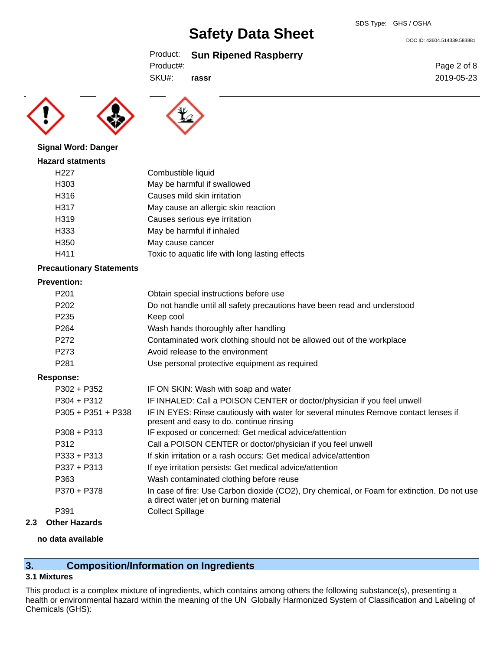DOC ID: 43604.514339.583881

### Product: **Sun Ripened Raspberry**

Product#:

SKU#: **rassr**





#### **Signal Word: Danger**

#### **Hazard statments**

| H <sub>22</sub> 7 | Combustible liquid                              |
|-------------------|-------------------------------------------------|
| H <sub>303</sub>  | May be harmful if swallowed                     |
| H316              | Causes mild skin irritation                     |
| H317              | May cause an allergic skin reaction             |
| H319              | Causes serious eye irritation                   |
| H333              | May be harmful if inhaled                       |
| H <sub>350</sub>  | May cause cancer                                |
| H411              | Toxic to aquatic life with long lasting effects |

#### **Precautionary Statements**

#### **Prevention:**

| P <sub>201</sub> | Obtain special instructions before use                                   |
|------------------|--------------------------------------------------------------------------|
| P <sub>202</sub> | Do not handle until all safety precautions have been read and understood |
| P <sub>235</sub> | Keep cool                                                                |
| P <sub>264</sub> | Wash hands thoroughly after handling                                     |
| P <sub>272</sub> | Contaminated work clothing should not be allowed out of the workplace    |
| P <sub>273</sub> | Avoid release to the environment                                         |
| P <sub>281</sub> | Use personal protective equipment as required                            |
| nnnsa·           |                                                                          |

#### **Response:**

| P302 + P352          | IF ON SKIN: Wash with soap and water                                                                                                  |
|----------------------|---------------------------------------------------------------------------------------------------------------------------------------|
| $P304 + P312$        | IF INHALED: Call a POISON CENTER or doctor/physician if you feel unwell                                                               |
| $P305 + P351 + P338$ | IF IN EYES: Rinse cautiously with water for several minutes Remove contact lenses if<br>present and easy to do. continue rinsing      |
| $P308 + P313$        | IF exposed or concerned: Get medical advice/attention                                                                                 |
| P312                 | Call a POISON CENTER or doctor/physician if you feel unwell                                                                           |
| $P333 + P313$        | If skin irritation or a rash occurs: Get medical advice/attention                                                                     |
| $P337 + P313$        | If eye irritation persists: Get medical advice/attention                                                                              |
| P363                 | Wash contaminated clothing before reuse                                                                                               |
| P370 + P378          | In case of fire: Use Carbon dioxide (CO2), Dry chemical, or Foam for extinction. Do not use<br>a direct water jet on burning material |
| P391                 | <b>Collect Spillage</b>                                                                                                               |
|                      |                                                                                                                                       |

#### **2.3 Other Hazards**

#### **no data available**

### **3. Composition/Information on Ingredients**

#### **3.1 Mixtures**

This product is a complex mixture of ingredients, which contains among others the following substance(s), presenting a health or environmental hazard within the meaning of the UN Globally Harmonized System of Classification and Labeling of Chemicals (GHS):

Page 2 of 8 2019-05-23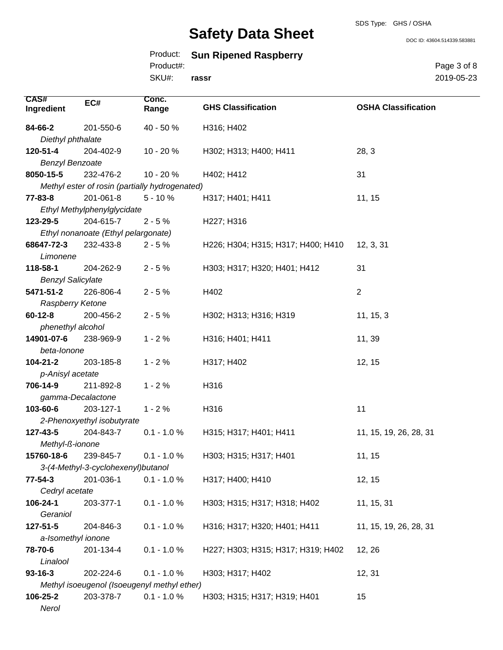#### SDS Type: GHS / OSHA

# **Safety Data Sheet**

DOC ID: 43604.514339.583881

| Product: |  |  | <b>Sun Ripened Raspberry</b> |
|----------|--|--|------------------------------|
|----------|--|--|------------------------------|

Product#:

SKU#: **rassr** Page 3 of 8 2019-05-23

| <b>CAS#</b>                               | EC#                                 | Conc.                                          | <b>GHS Classification</b>          | <b>OSHA Classification</b> |  |
|-------------------------------------------|-------------------------------------|------------------------------------------------|------------------------------------|----------------------------|--|
| Ingredient                                |                                     | Range                                          |                                    |                            |  |
| 84-66-2                                   | 201-550-6                           | 40 - 50 %                                      | H316; H402                         |                            |  |
| Diethyl phthalate                         |                                     |                                                |                                    |                            |  |
| 120-51-4                                  | 204-402-9                           | 10 - 20 %                                      | H302; H313; H400; H411             | 28, 3                      |  |
| <b>Benzyl Benzoate</b>                    |                                     |                                                |                                    |                            |  |
| 8050-15-5                                 | 232-476-2                           | 10 - 20 %                                      | H402; H412                         | 31                         |  |
|                                           |                                     | Methyl ester of rosin (partially hydrogenated) |                                    |                            |  |
| $77 - 83 - 8$                             | 201-061-8                           | $5 - 10%$                                      | H317; H401; H411                   | 11, 15                     |  |
|                                           | Ethyl Methylphenylglycidate         |                                                |                                    |                            |  |
| 123-29-5                                  | 204-615-7                           | $2 - 5%$                                       | H227; H316                         |                            |  |
|                                           | Ethyl nonanoate (Ethyl pelargonate) |                                                |                                    |                            |  |
| 68647-72-3                                | 232-433-8                           | $2 - 5%$                                       | H226; H304; H315; H317; H400; H410 | 12, 3, 31                  |  |
| Limonene                                  |                                     |                                                |                                    |                            |  |
| 118-58-1                                  | 204-262-9                           | $2 - 5%$                                       | H303; H317; H320; H401; H412       | 31                         |  |
| <b>Benzyl Salicylate</b>                  |                                     |                                                |                                    |                            |  |
| 5471-51-2<br>Raspberry Ketone             | 226-806-4                           | $2 - 5%$                                       | H402                               | $\overline{2}$             |  |
| $60 - 12 - 8$                             | 200-456-2                           | $2 - 5%$                                       | H302; H313; H316; H319             | 11, 15, 3                  |  |
| phenethyl alcohol                         |                                     |                                                |                                    |                            |  |
| 14901-07-6                                | 238-969-9                           | $1 - 2%$                                       | H316; H401; H411                   | 11, 39                     |  |
| beta-lonone                               |                                     |                                                |                                    |                            |  |
| 104-21-2                                  | 203-185-8                           | $1 - 2%$                                       | H317; H402                         | 12, 15                     |  |
| p-Anisyl acetate                          |                                     |                                                |                                    |                            |  |
| 706-14-9<br>211-892-8<br>$1 - 2%$<br>H316 |                                     |                                                |                                    |                            |  |
| gamma-Decalactone                         |                                     |                                                |                                    |                            |  |
| 103-60-6                                  | 203-127-1                           | $1 - 2%$                                       | H316                               | 11                         |  |
|                                           | 2-Phenoxyethyl isobutyrate          |                                                |                                    |                            |  |
| 127-43-5                                  | 204-843-7                           | $0.1 - 1.0 %$                                  | H315; H317; H401; H411             | 11, 15, 19, 26, 28, 31     |  |
| Methyl-ß-ionone                           |                                     |                                                |                                    |                            |  |
| 15760-18-6                                | 239-845-7                           | $0.1 - 1.0 %$                                  | H303; H315; H317; H401             | 11, 15                     |  |
|                                           | 3-(4-Methyl-3-cyclohexenyl) butanol |                                                |                                    |                            |  |
| $77 - 54 - 3$                             | 201-036-1                           | $0.1 - 1.0 \%$                                 | H317; H400; H410                   | 12, 15                     |  |
| Cedryl acetate                            |                                     |                                                |                                    |                            |  |
| 106-24-1                                  | 203-377-1                           | $0.1 - 1.0 %$                                  | H303; H315; H317; H318; H402       | 11, 15, 31                 |  |
| Geraniol                                  |                                     |                                                |                                    |                            |  |
| 127-51-5                                  | 204-846-3                           | $0.1 - 1.0 %$                                  | H316; H317; H320; H401; H411       | 11, 15, 19, 26, 28, 31     |  |
| a-Isomethyl ionone                        |                                     |                                                |                                    |                            |  |
| 78-70-6                                   | 201-134-4                           | $0.1 - 1.0 %$                                  | H227; H303; H315; H317; H319; H402 | 12, 26                     |  |
| Linalool                                  |                                     |                                                |                                    |                            |  |
| $93 - 16 - 3$                             | 202-224-6                           | $0.1 - 1.0 %$                                  | H303; H317; H402                   | 12, 31                     |  |
|                                           |                                     | Methyl isoeugenol (Isoeugenyl methyl ether)    |                                    |                            |  |
| 106-25-2                                  | 203-378-7                           | $0.1 - 1.0 %$                                  | H303; H315; H317; H319; H401       | 15                         |  |
| Nerol                                     |                                     |                                                |                                    |                            |  |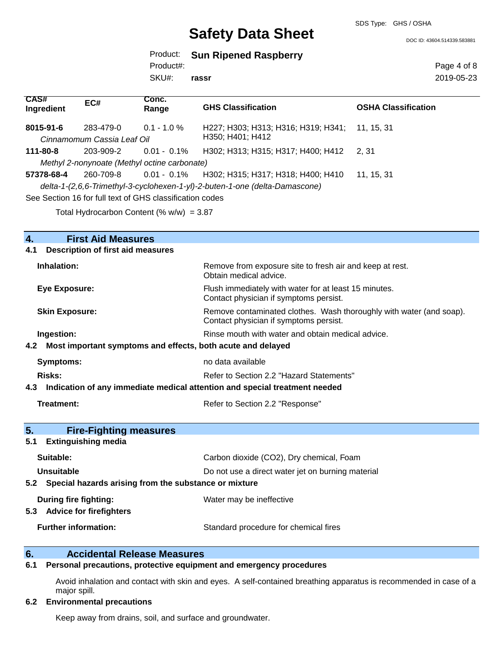SDS Type: GHS / OSHA

DOC ID: 43604.514339.583881

|           | Product: Sun Ripened Raspberry |
|-----------|--------------------------------|
| Product#: |                                |

SKU#: **rassr** Page 4 of 8 2019-05-23

| CAS#<br>Ingredient | EC#                                     | Conc.<br>Range                                                 | <b>GHS Classification</b>                                                                                                     | <b>OSHA Classification</b> |
|--------------------|-----------------------------------------|----------------------------------------------------------------|-------------------------------------------------------------------------------------------------------------------------------|----------------------------|
| 8015-91-6          | 283-479-0<br>Cinnamomum Cassia Leaf Oil | $0.1 - 1.0 \%$                                                 | H227; H303; H313; H316; H319; H341; 11, 15, 31<br>H350; H401; H412                                                            |                            |
| 111-80-8           | 203-909-2                               | $0.01 - 0.1\%$<br>Methyl 2-nonynoate (Methyl octine carbonate) | H302; H313; H315; H317; H400; H412                                                                                            | 2.31                       |
| 57378-68-4         | 260-709-8                               | See Section 16 for full text of GHS classification codes       | 0.01 - 0.1% H302; H315; H317; H318; H400; H410<br>delta-1-(2,6,6-Trimethyl-3-cyclohexen-1-yl)-2-buten-1-one (delta-Damascone) | 11. 15. 31                 |

Total Hydrocarbon Content (%  $w/w$ ) = 3.87

#### **4. First Aid Measures**

#### **4.1 Description of first aid measures**

| Inhalation:                                                                    | Remove from exposure site to fresh air and keep at rest.<br>Obtain medical advice.                            |  |
|--------------------------------------------------------------------------------|---------------------------------------------------------------------------------------------------------------|--|
| <b>Eye Exposure:</b>                                                           | Flush immediately with water for at least 15 minutes.<br>Contact physician if symptoms persist.               |  |
| <b>Skin Exposure:</b>                                                          | Remove contaminated clothes. Wash thoroughly with water (and soap).<br>Contact physician if symptoms persist. |  |
| Ingestion:                                                                     | Rinse mouth with water and obtain medical advice.                                                             |  |
| 4.2 Most important symptoms and effects, both acute and delayed                |                                                                                                               |  |
| <b>Symptoms:</b>                                                               | no data available                                                                                             |  |
| <b>Risks:</b>                                                                  | Refer to Section 2.2 "Hazard Statements"                                                                      |  |
| 4.3 Indication of any immediate medical attention and special treatment needed |                                                                                                               |  |
| <b>Treatment:</b>                                                              | Refer to Section 2.2 "Response"                                                                               |  |
| 5.<br><b>Fire-Fighting measures</b>                                            |                                                                                                               |  |
| <b>Extinguishing media</b><br>5.1                                              |                                                                                                               |  |
| Suitable:                                                                      | Carbon dioxide (CO2), Dry chemical, Foam                                                                      |  |
| Unsuitable                                                                     | Do not use a direct water jet on burning material                                                             |  |
| Special hazards arising from the substance or mixture<br>5.2                   |                                                                                                               |  |
| During fire fighting:<br>5.3 Advice for firefighters                           | Water may be ineffective                                                                                      |  |
| <b>Further information:</b>                                                    | Standard procedure for chemical fires                                                                         |  |

#### **6. Accidental Release Measures**

#### **6.1 Personal precautions, protective equipment and emergency procedures**

Avoid inhalation and contact with skin and eyes. A self-contained breathing apparatus is recommended in case of a major spill.

#### **6.2 Environmental precautions**

Keep away from drains, soil, and surface and groundwater.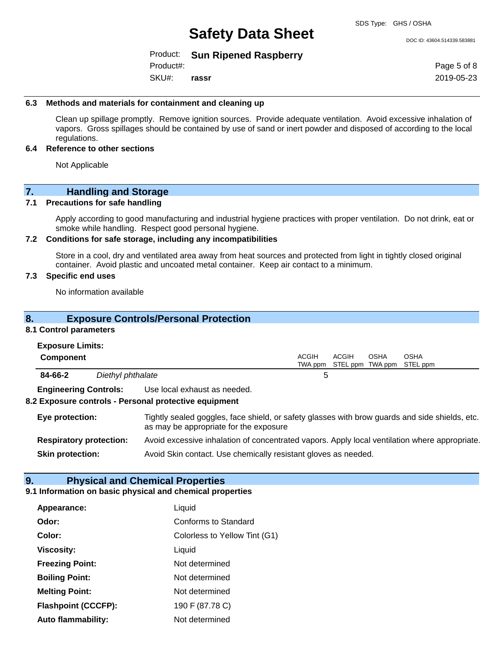DOC ID: 43604.514339.583881

Product: **Sun Ripened Raspberry**

Product#:

SKU#: **rassr** Page 5 of 8 2019-05-23

#### **6.3 Methods and materials for containment and cleaning up**

Clean up spillage promptly. Remove ignition sources. Provide adequate ventilation. Avoid excessive inhalation of vapors. Gross spillages should be contained by use of sand or inert powder and disposed of according to the local regulations.

#### **6.4 Reference to other sections**

Not Applicable

### **7. Handling and Storage**

#### **7.1 Precautions for safe handling**

Apply according to good manufacturing and industrial hygiene practices with proper ventilation. Do not drink, eat or smoke while handling. Respect good personal hygiene.

#### **7.2 Conditions for safe storage, including any incompatibilities**

Store in a cool, dry and ventilated area away from heat sources and protected from light in tightly closed original container. Avoid plastic and uncoated metal container. Keep air contact to a minimum.

#### **7.3 Specific end uses**

No information available

| 8 <sub>1</sub>                                                                                                                                              | <b>Exposure Controls/Personal Protection</b>                                                  |                  |       |                                 |                         |
|-------------------------------------------------------------------------------------------------------------------------------------------------------------|-----------------------------------------------------------------------------------------------|------------------|-------|---------------------------------|-------------------------|
| 8.1 Control parameters                                                                                                                                      |                                                                                               |                  |       |                                 |                         |
| <b>Exposure Limits:</b>                                                                                                                                     |                                                                                               |                  |       |                                 |                         |
| <b>Component</b>                                                                                                                                            |                                                                                               | ACGIH<br>TWA ppm | ACGIH | <b>OSHA</b><br>STEL ppm TWA ppm | <b>OSHA</b><br>STEL ppm |
| 84-66-2                                                                                                                                                     | Diethyl phthalate                                                                             | 5                |       |                                 |                         |
| <b>Engineering Controls:</b>                                                                                                                                | Use local exhaust as needed.                                                                  |                  |       |                                 |                         |
|                                                                                                                                                             | 8.2 Exposure controls - Personal protective equipment                                         |                  |       |                                 |                         |
| Tightly sealed goggles, face shield, or safety glasses with brow guards and side shields, etc.<br>Eye protection:<br>as may be appropriate for the exposure |                                                                                               |                  |       |                                 |                         |
| <b>Respiratory protection:</b>                                                                                                                              | Avoid excessive inhalation of concentrated vapors. Apply local ventilation where appropriate. |                  |       |                                 |                         |
| Avoid Skin contact. Use chemically resistant gloves as needed.<br><b>Skin protection:</b>                                                                   |                                                                                               |                  |       |                                 |                         |

#### **9. Physical and Chemical Properties**

#### **9.1 Information on basic physical and chemical properties**

| Appearance:                | Liquid                        |  |  |
|----------------------------|-------------------------------|--|--|
| Odor:                      | Conforms to Standard          |  |  |
| Color:                     | Colorless to Yellow Tint (G1) |  |  |
| <b>Viscosity:</b>          | Liquid                        |  |  |
| <b>Freezing Point:</b>     | Not determined                |  |  |
| <b>Boiling Point:</b>      | Not determined                |  |  |
| <b>Melting Point:</b>      | Not determined                |  |  |
| <b>Flashpoint (CCCFP):</b> | 190 F (87.78 C)               |  |  |
| Auto flammability:         | Not determined                |  |  |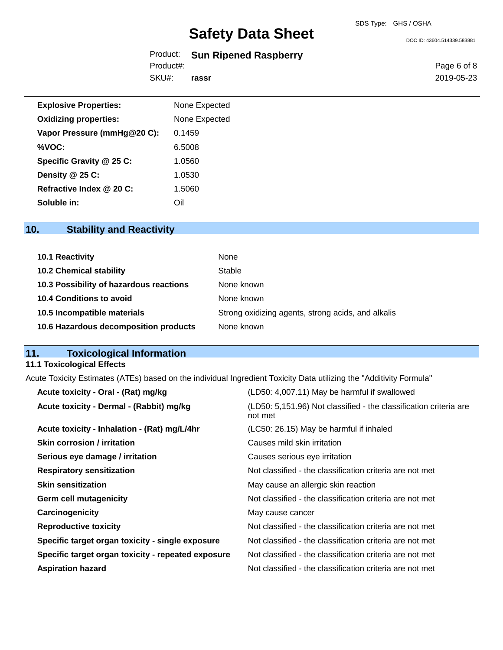DOC ID: 43604.514339.583881

### Product: **Sun Ripened Raspberry**

Product#:

SKU#: **rassr** Page 6 of 8 2019-05-23

| <b>Explosive Properties:</b> | None Expected |
|------------------------------|---------------|
| <b>Oxidizing properties:</b> | None Expected |
| Vapor Pressure (mmHg@20 C):  | 0.1459        |
| %VOC:                        | 6.5008        |
| Specific Gravity @ 25 C:     | 1.0560        |
| Density @ 25 C:              | 1.0530        |
| Refractive Index @ 20 C:     | 1.5060        |
| Soluble in:                  | Oil           |

### **10. Stability and Reactivity**

| 10.1 Reactivity                         | None                                               |
|-----------------------------------------|----------------------------------------------------|
| <b>10.2 Chemical stability</b>          | Stable                                             |
| 10.3 Possibility of hazardous reactions | None known                                         |
| 10.4 Conditions to avoid                | None known                                         |
| 10.5 Incompatible materials             | Strong oxidizing agents, strong acids, and alkalis |
| 10.6 Hazardous decomposition products   | None known                                         |

## **11. Toxicological Information**

### **11.1 Toxicological Effects**

Acute Toxicity Estimates (ATEs) based on the individual Ingredient Toxicity Data utilizing the "Additivity Formula"

| Acute toxicity - Oral - (Rat) mg/kg                | (LD50: 4,007.11) May be harmful if swallowed                                 |
|----------------------------------------------------|------------------------------------------------------------------------------|
| Acute toxicity - Dermal - (Rabbit) mg/kg           | (LD50: 5,151.96) Not classified - the classification criteria are<br>not met |
| Acute toxicity - Inhalation - (Rat) mg/L/4hr       | (LC50: 26.15) May be harmful if inhaled                                      |
| <b>Skin corrosion / irritation</b>                 | Causes mild skin irritation                                                  |
| Serious eye damage / irritation                    | Causes serious eye irritation                                                |
| <b>Respiratory sensitization</b>                   | Not classified - the classification criteria are not met                     |
| <b>Skin sensitization</b>                          | May cause an allergic skin reaction                                          |
| <b>Germ cell mutagenicity</b>                      | Not classified - the classification criteria are not met                     |
| Carcinogenicity                                    | May cause cancer                                                             |
| <b>Reproductive toxicity</b>                       | Not classified - the classification criteria are not met                     |
| Specific target organ toxicity - single exposure   | Not classified - the classification criteria are not met                     |
| Specific target organ toxicity - repeated exposure | Not classified - the classification criteria are not met                     |
| <b>Aspiration hazard</b>                           | Not classified - the classification criteria are not met                     |
|                                                    |                                                                              |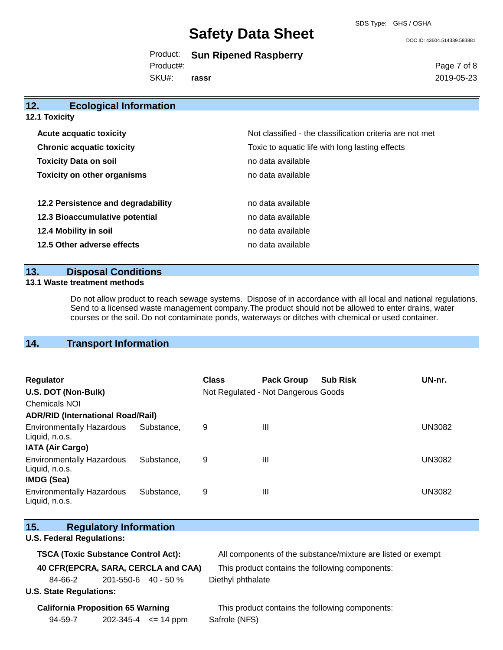SDS Type: GHS / OSHA

DOC ID: 43604.514339.583881

Product: **Sun Ripened Raspberry**

Product#:

SKU#: **rassr** Page 7 of 8 2019-05-23

### **12. Ecological Information 12.1 Toxicity Acute acquatic toxicity**  $\qquad \qquad \qquad$  Not classified - the classification criteria are not met **Chronic acquatic toxicity** Toxic to aquatic life with long lasting effects **Toxicity Data on soil no data available no data available Toxicity on other organisms** no data available

| no data available |
|-------------------|
| no data available |
| no data available |
| no data available |
|                   |

#### **13. Disposal Conditions**

#### **13.1 Waste treatment methods**

Do not allow product to reach sewage systems. Dispose of in accordance with all local and national regulations. Send to a licensed waste management company.The product should not be allowed to enter drains, water courses or the soil. Do not contaminate ponds, waterways or ditches with chemical or used container.

### **14. Transport Information**

| Regulator<br>U.S. DOT (Non-Bulk)<br><b>Chemicals NOI</b>                |            | <b>Class</b> | <b>Pack Group</b><br>Not Regulated - Not Dangerous Goods | <b>Sub Risk</b> | UN-nr.        |
|-------------------------------------------------------------------------|------------|--------------|----------------------------------------------------------|-----------------|---------------|
| <b>ADR/RID (International Road/Rail)</b>                                |            |              |                                                          |                 |               |
| <b>Environmentally Hazardous</b><br>Liquid, n.o.s.                      | Substance. | 9            | Ш                                                        |                 | <b>UN3082</b> |
| <b>IATA (Air Cargo)</b>                                                 |            |              |                                                          |                 |               |
| <b>Environmentally Hazardous</b><br>Liquid, n.o.s.<br><b>IMDG (Sea)</b> | Substance. | 9            | Ш                                                        |                 | <b>UN3082</b> |
| <b>Environmentally Hazardous</b><br>Liquid, n.o.s.                      | Substance. | 9            | Ш                                                        |                 | <b>UN3082</b> |

#### **15. Regulatory Information**

#### **U.S. Federal Regulations:**

| <b>TSCA (Toxic Substance Control Act):</b> |                     | All components of the substance/mixture are listed or exempt |
|--------------------------------------------|---------------------|--------------------------------------------------------------|
| 40 CFR(EPCRA, SARA, CERCLA and CAA)        |                     | This product contains the following components:              |
| 84-66-2                                    | 201-550-6 40 - 50 % | Diethyl phthalate                                            |
| $\sim$ $\sim$ $\sim$ $\sim$ $\sim$ $\sim$  |                     |                                                              |

#### **U.S. State Regulations:**

 $\mathcal{N}_{\mathrm{S}}$ 

**California Proposition 65 Warning This product contains the following components:** 94-59-7 202-345-4 <= 14 ppm Safrole (NFS)